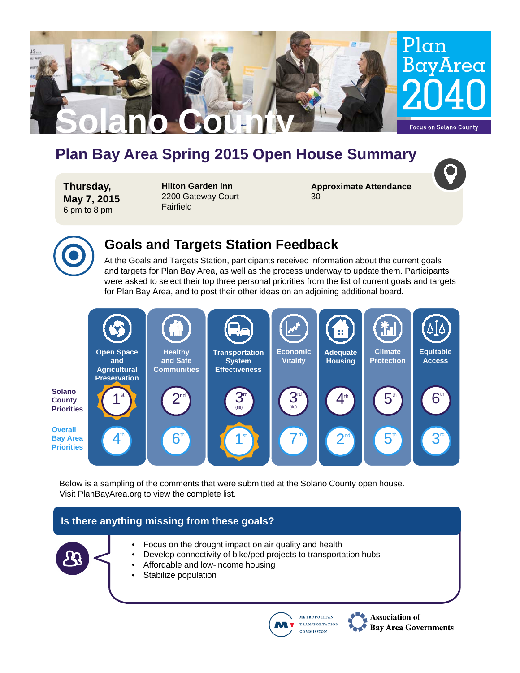

# **Plan Bay Area Spring 2015 Open House Summary**

**Thursday, May 7, 2015** 6 pm to 8 pm

**Hilton Garden Inn** 2200 Gateway Court Fairfield

**Approximate Attendance** 30



### **Goals and Targets Station Feedback**

At the Goals and Targets Station, participants received information about the current goals and targets for Plan Bay Area, as well as the process underway to update them. Participants were asked to select their top three personal priorities from the list of current goals and targets for Plan Bay Area, and to post their other ideas on an adjoining additional board.



Below is a sampling of the comments that were submitted at the Solano County open house. Visit PlanBayArea.org to view the complete list.

### **Is there anything missing from these goals?**



**METROPOLITAN** 

**COMMISSION** 

**TRANSPORTATION** 

Association of

**Bay Area Governments**